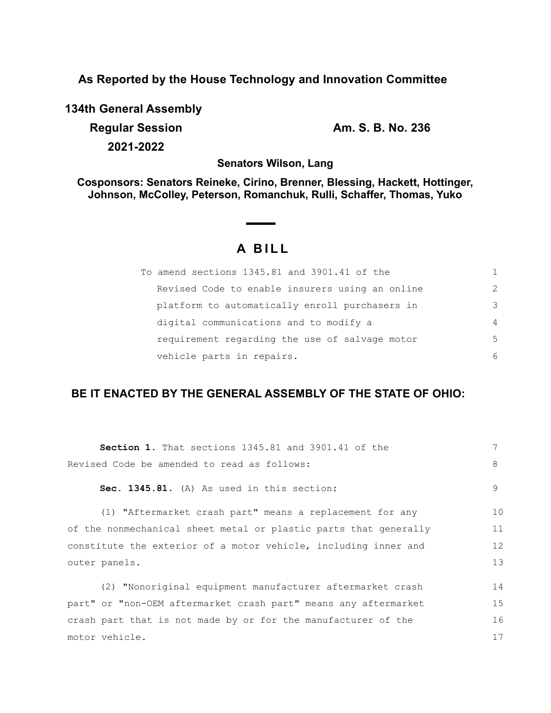**As Reported by the House Technology and Innovation Committee**

**134th General Assembly**

**Regular Session Am. S. B. No. 236 2021-2022**

**Senators Wilson, Lang**

**Cosponsors: Senators Reineke, Cirino, Brenner, Blessing, Hackett, Hottinger, Johnson, McColley, Peterson, Romanchuk, Rulli, Schaffer, Thomas, Yuko**

# **A B I L L**

| To amend sections 1345.81 and 3901.41 of the    |                |
|-------------------------------------------------|----------------|
| Revised Code to enable insurers using an online | $\mathcal{L}$  |
| platform to automatically enroll purchasers in  | 3              |
| digital communications and to modify a          | $\overline{4}$ |
| requirement regarding the use of salvage motor  | .5             |
| vehicle parts in repairs.                       | 6              |

## **BE IT ENACTED BY THE GENERAL ASSEMBLY OF THE STATE OF OHIO:**

| <b>Section 1.</b> That sections 1345.81 and 3901.41 of the       | 7  |
|------------------------------------------------------------------|----|
| Revised Code be amended to read as follows:                      | 8  |
| Sec. 1345.81. (A) As used in this section:                       | 9  |
| (1) "Aftermarket crash part" means a replacement for any         | 10 |
| of the nonmechanical sheet metal or plastic parts that generally | 11 |
| constitute the exterior of a motor vehicle, including inner and  | 12 |
| outer panels.                                                    | 13 |
| (2) "Nonoriginal equipment manufacturer aftermarket crash        | 14 |
| part" or "non-OEM aftermarket crash part" means any aftermarket  | 15 |
| crash part that is not made by or for the manufacturer of the    | 16 |
| motor vehicle.                                                   | 17 |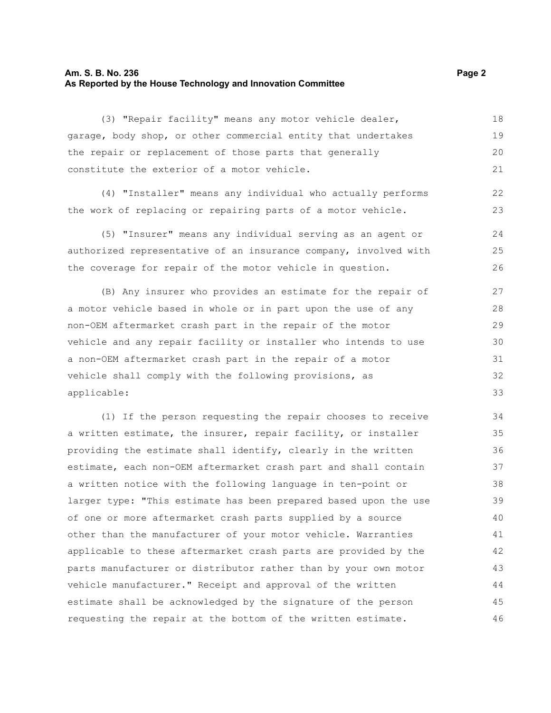### **Am. S. B. No. 236 Page 2 As Reported by the House Technology and Innovation Committee**

(3) "Repair facility" means any motor vehicle dealer, garage, body shop, or other commercial entity that undertakes the repair or replacement of those parts that generally constitute the exterior of a motor vehicle. 18 19 20 21

(4) "Installer" means any individual who actually performs the work of replacing or repairing parts of a motor vehicle.

(5) "Insurer" means any individual serving as an agent or authorized representative of an insurance company, involved with the coverage for repair of the motor vehicle in question. 24 25 26

(B) Any insurer who provides an estimate for the repair of a motor vehicle based in whole or in part upon the use of any non-OEM aftermarket crash part in the repair of the motor vehicle and any repair facility or installer who intends to use a non-OEM aftermarket crash part in the repair of a motor vehicle shall comply with the following provisions, as applicable: 27 28 29 30 31 32 33

(1) If the person requesting the repair chooses to receive a written estimate, the insurer, repair facility, or installer providing the estimate shall identify, clearly in the written estimate, each non-OEM aftermarket crash part and shall contain a written notice with the following language in ten-point or larger type: "This estimate has been prepared based upon the use of one or more aftermarket crash parts supplied by a source other than the manufacturer of your motor vehicle. Warranties applicable to these aftermarket crash parts are provided by the parts manufacturer or distributor rather than by your own motor vehicle manufacturer." Receipt and approval of the written estimate shall be acknowledged by the signature of the person requesting the repair at the bottom of the written estimate. 34 35 36 37 38 39 40 41 42 43 44 45 46

22 23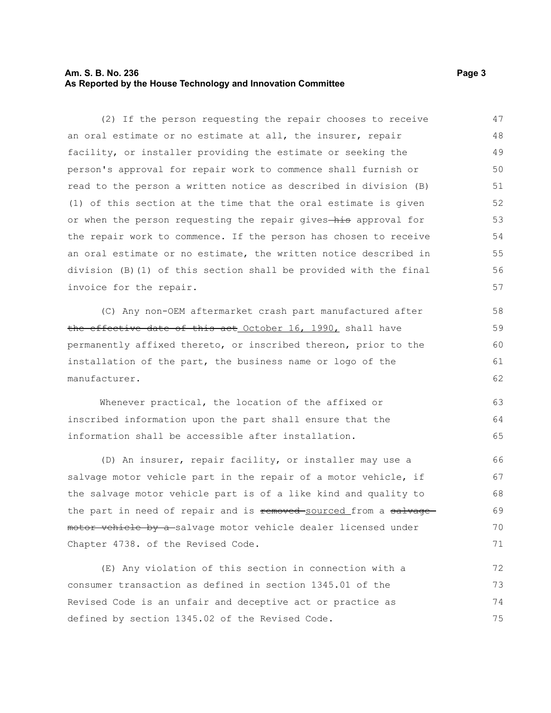## **Am. S. B. No. 236 Page 3 As Reported by the House Technology and Innovation Committee**

(2) If the person requesting the repair chooses to receive an oral estimate or no estimate at all, the insurer, repair facility, or installer providing the estimate or seeking the person's approval for repair work to commence shall furnish or read to the person a written notice as described in division (B) (1) of this section at the time that the oral estimate is given or when the person requesting the repair gives-his approval for the repair work to commence. If the person has chosen to receive an oral estimate or no estimate, the written notice described in division (B)(1) of this section shall be provided with the final invoice for the repair. 47 48 49 50 51 52 53 54 55 56 57

(C) Any non-OEM aftermarket crash part manufactured after the effective date of this act October 16, 1990, shall have permanently affixed thereto, or inscribed thereon, prior to the installation of the part, the business name or logo of the manufacturer.

Whenever practical, the location of the affixed or inscribed information upon the part shall ensure that the information shall be accessible after installation. 63 64 65

(D) An insurer, repair facility, or installer may use a salvage motor vehicle part in the repair of a motor vehicle, if the salvage motor vehicle part is of a like kind and quality to the part in need of repair and is removed sourced from a salvagemotor vehicle by a-salvage motor vehicle dealer licensed under Chapter 4738. of the Revised Code. 66 67 68 69 70 71

(E) Any violation of this section in connection with a consumer transaction as defined in section 1345.01 of the Revised Code is an unfair and deceptive act or practice as defined by section 1345.02 of the Revised Code. 72 73 74 75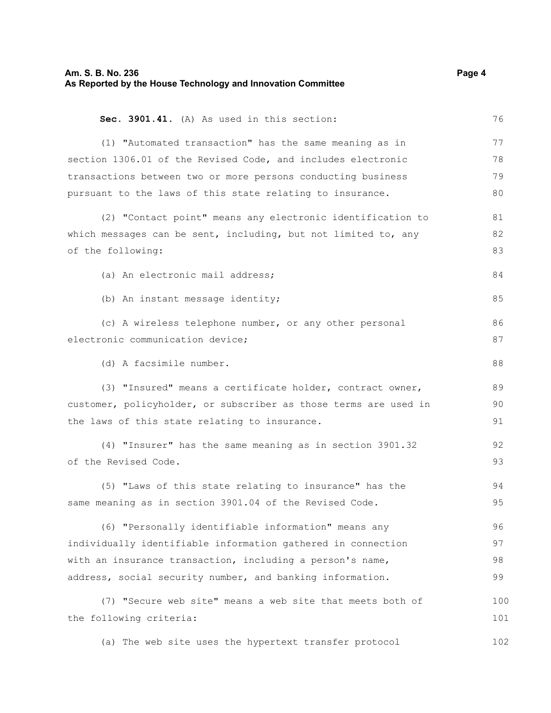| Am. S. B. No. 236<br>As Reported by the House Technology and Innovation Committee |     |
|-----------------------------------------------------------------------------------|-----|
| Sec. 3901.41. (A) As used in this section:                                        | 76  |
| (1) "Automated transaction" has the same meaning as in                            | 77  |
| section 1306.01 of the Revised Code, and includes electronic                      | 78  |
| transactions between two or more persons conducting business                      | 79  |
| pursuant to the laws of this state relating to insurance.                         | 80  |
| (2) "Contact point" means any electronic identification to                        | 81  |
| which messages can be sent, including, but not limited to, any                    | 82  |
| of the following:                                                                 | 83  |
| (a) An electronic mail address;                                                   | 84  |
| (b) An instant message identity;                                                  | 85  |
| (c) A wireless telephone number, or any other personal                            | 86  |
| electronic communication device;                                                  | 87  |
| (d) A facsimile number.                                                           | 88  |
| (3) "Insured" means a certificate holder, contract owner,                         | 89  |
| customer, policyholder, or subscriber as those terms are used in                  | 90  |
| the laws of this state relating to insurance.                                     | 91  |
| (4) "Insurer" has the same meaning as in section 3901.32                          | 92  |
| of the Revised Code.                                                              | 93  |
| (5) "Laws of this state relating to insurance" has the                            | 94  |
| same meaning as in section 3901.04 of the Revised Code.                           | 95  |
| (6) "Personally identifiable information" means any                               | 96  |
| individually identifiable information gathered in connection                      | 97  |
| with an insurance transaction, including a person's name,                         | 98  |
| address, social security number, and banking information.                         | 99  |
| (7) "Secure web site" means a web site that meets both of                         | 100 |
| the following criteria:                                                           | 101 |
| (a) The web site uses the hypertext transfer protocol                             | 102 |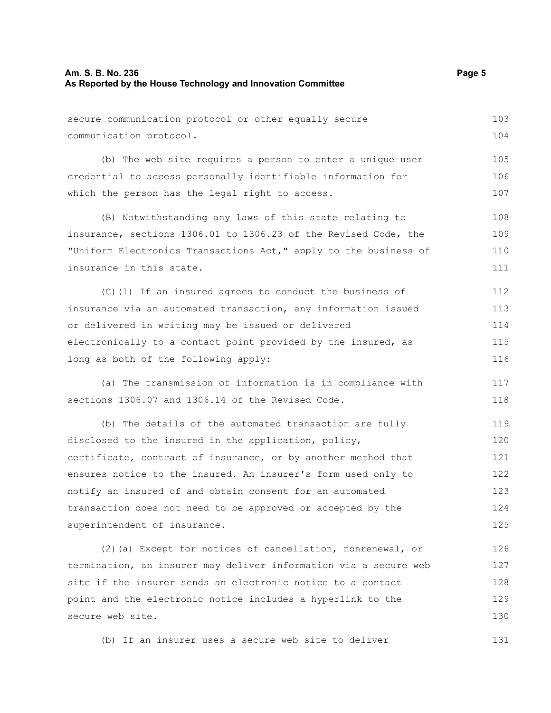(b) The web site requires a person to enter a unique user credential to access personally identifiable information for which the person has the legal right to access. 105 106 107

(B) Notwithstanding any laws of this state relating to insurance, sections 1306.01 to 1306.23 of the Revised Code, the "Uniform Electronics Transactions Act," apply to the business of insurance in this state. 108 109 110 111

(C)(1) If an insured agrees to conduct the business of insurance via an automated transaction, any information issued or delivered in writing may be issued or delivered electronically to a contact point provided by the insured, as long as both of the following apply: 112 113 114 115 116

(a) The transmission of information is in compliance with sections 1306.07 and 1306.14 of the Revised Code. 117 118

(b) The details of the automated transaction are fully disclosed to the insured in the application, policy, certificate, contract of insurance, or by another method that ensures notice to the insured. An insurer's form used only to notify an insured of and obtain consent for an automated transaction does not need to be approved or accepted by the superintendent of insurance. 119 120 121 122 123 124 125

(2)(a) Except for notices of cancellation, nonrenewal, or termination, an insurer may deliver information via a secure web site if the insurer sends an electronic notice to a contact point and the electronic notice includes a hyperlink to the secure web site. 126 127 128 129 130

(b) If an insurer uses a secure web site to deliver 131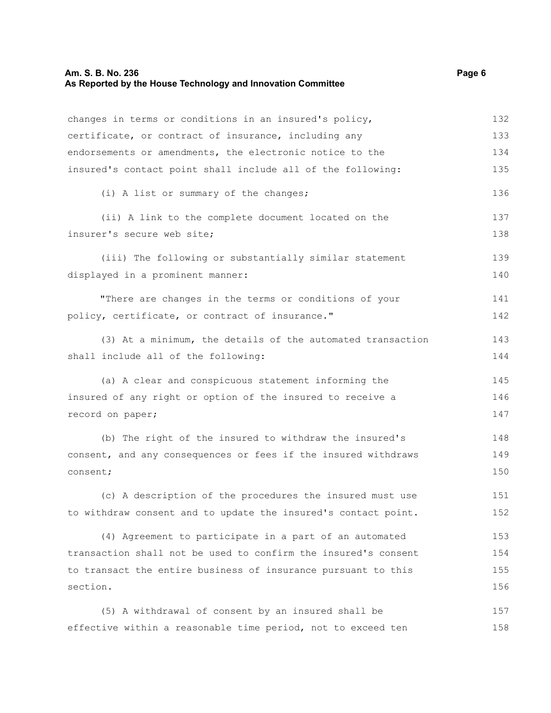## **Am. S. B. No. 236** Page 6 **As Reported by the House Technology and Innovation Committee**

| changes in terms or conditions in an insured's policy,         | 132 |
|----------------------------------------------------------------|-----|
| certificate, or contract of insurance, including any           |     |
| endorsements or amendments, the electronic notice to the       |     |
| insured's contact point shall include all of the following:    |     |
| (i) A list or summary of the changes;                          | 136 |
| (ii) A link to the complete document located on the            | 137 |
| insurer's secure web site;                                     |     |
| (iii) The following or substantially similar statement         | 139 |
| displayed in a prominent manner:                               | 140 |
| "There are changes in the terms or conditions of your          | 141 |
| policy, certificate, or contract of insurance."                | 142 |
| (3) At a minimum, the details of the automated transaction     | 143 |
| shall include all of the following:                            | 144 |
| (a) A clear and conspicuous statement informing the            | 145 |
| insured of any right or option of the insured to receive a     | 146 |
| record on paper;                                               | 147 |
| (b) The right of the insured to withdraw the insured's         | 148 |
| consent, and any consequences or fees if the insured withdraws | 149 |
| consent;                                                       | 150 |
| (c) A description of the procedures the insured must use       | 151 |
| to withdraw consent and to update the insured's contact point. | 152 |
| (4) Agreement to participate in a part of an automated         | 153 |
| transaction shall not be used to confirm the insured's consent | 154 |
| to transact the entire business of insurance pursuant to this  | 155 |
| section.                                                       |     |
| (5) A withdrawal of consent by an insured shall be             | 157 |

effective within a reasonable time period, not to exceed ten

158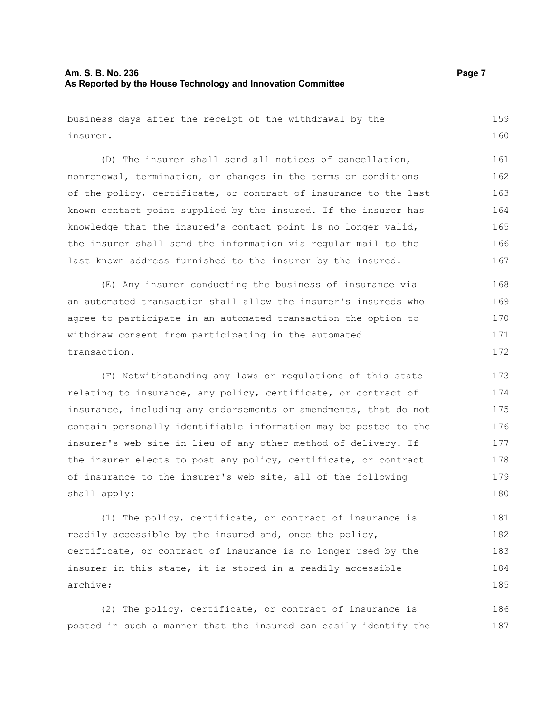## **Am. S. B. No. 236 Page 7 As Reported by the House Technology and Innovation Committee**

| business days after the receipt of the withdrawal by the         |     |
|------------------------------------------------------------------|-----|
| insurer.                                                         |     |
| (D) The insurer shall send all notices of cancellation,          | 161 |
| nonrenewal, termination, or changes in the terms or conditions   | 162 |
| of the policy, certificate, or contract of insurance to the last | 163 |
| known contact point supplied by the insured. If the insurer has  | 164 |
| knowledge that the insured's contact point is no longer valid,   | 165 |
| the insurer shall send the information via regular mail to the   | 166 |
| last known address furnished to the insurer by the insured.      | 167 |
| (E) Any insurer conducting the business of insurance via         | 168 |
| an automated transaction shall allow the insurer's insureds who  | 169 |
| agree to participate in an automated transaction the option to   |     |
| withdraw consent from participating in the automated             | 171 |
| transaction.                                                     | 172 |
| (F) Notwithstanding any laws or regulations of this state        | 173 |
| relating to insurance, any policy, certificate, or contract of   | 174 |
| insurance, including any endorsements or amendments, that do not | 175 |
| contain personally identifiable information may be posted to the | 176 |
| insurer's web site in lieu of any other method of delivery. If   | 177 |
| the insurer elects to post any policy, certificate, or contract  | 178 |
| of insurance to the insurer's web site, all of the following     | 179 |
| shall apply:                                                     |     |
| (1) The policy, certificate, or contract of insurance is         | 181 |
| readily accessible by the insured and, once the nolicy.          | 182 |

readily accessible by the insured and, once the policy, certificate, or contract of insurance is no longer used by the insurer in this state, it is stored in a readily accessible archive; 182 183 184 185

(2) The policy, certificate, or contract of insurance is posted in such a manner that the insured can easily identify the 186 187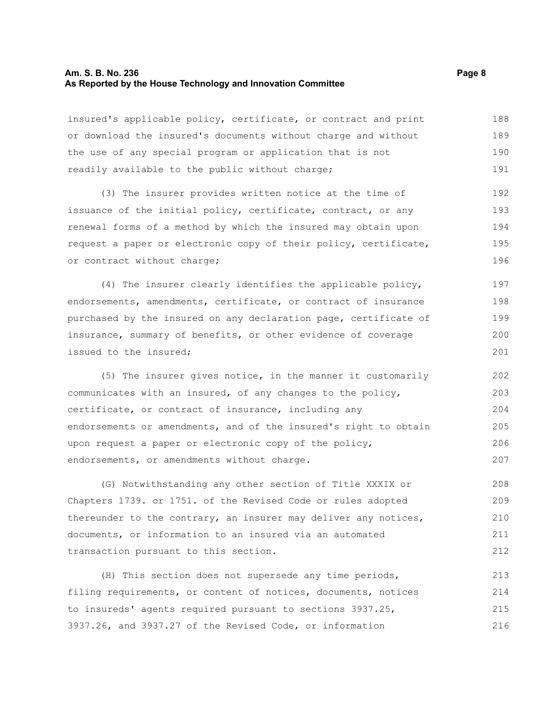#### **Am. S. B. No. 236 Page 8 As Reported by the House Technology and Innovation Committee**

insured's applicable policy, certificate, or contract and print or download the insured's documents without charge and without the use of any special program or application that is not readily available to the public without charge; 188 189 190 191

(3) The insurer provides written notice at the time of issuance of the initial policy, certificate, contract, or any renewal forms of a method by which the insured may obtain upon request a paper or electronic copy of their policy, certificate, or contract without charge; 192 193 194 195 196

(4) The insurer clearly identifies the applicable policy, endorsements, amendments, certificate, or contract of insurance purchased by the insured on any declaration page, certificate of insurance, summary of benefits, or other evidence of coverage issued to the insured; 197 198 199 200 201

(5) The insurer gives notice, in the manner it customarily communicates with an insured, of any changes to the policy, certificate, or contract of insurance, including any endorsements or amendments, and of the insured's right to obtain upon request a paper or electronic copy of the policy, endorsements, or amendments without charge. 202 203 204 205 206 207

(G) Notwithstanding any other section of Title XXXIX or Chapters 1739. or 1751. of the Revised Code or rules adopted thereunder to the contrary, an insurer may deliver any notices, documents, or information to an insured via an automated transaction pursuant to this section. 208 209 210 211 212

(H) This section does not supersede any time periods, filing requirements, or content of notices, documents, notices to insureds' agents required pursuant to sections 3937.25, 3937.26, and 3937.27 of the Revised Code, or information 213 214 215 216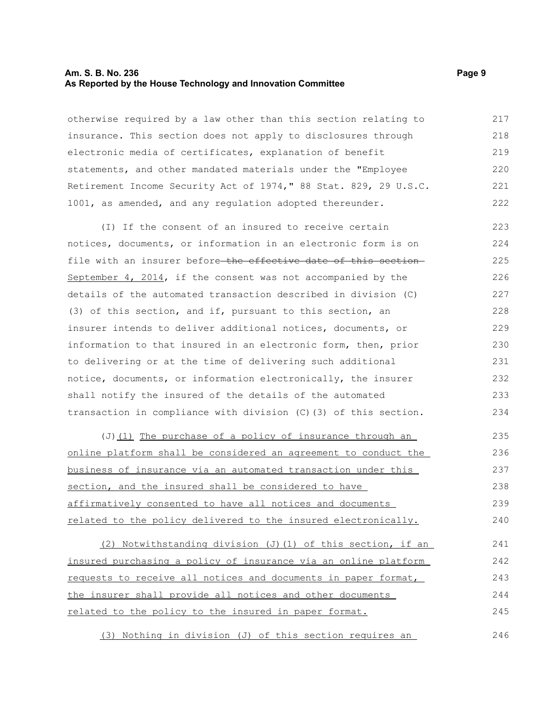#### **Am. S. B. No. 236** Page 9 **As Reported by the House Technology and Innovation Committee**

otherwise required by a law other than this section relating to insurance. This section does not apply to disclosures through electronic media of certificates, explanation of benefit statements, and other mandated materials under the "Employee Retirement Income Security Act of 1974," 88 Stat. 829, 29 U.S.C. 1001, as amended, and any regulation adopted thereunder. 217 218 219 220 221 222

(I) If the consent of an insured to receive certain notices, documents, or information in an electronic form is on file with an insurer before-the effective date of this section-September 4, 2014, if the consent was not accompanied by the details of the automated transaction described in division (C) (3) of this section, and if, pursuant to this section, an insurer intends to deliver additional notices, documents, or information to that insured in an electronic form, then, prior to delivering or at the time of delivering such additional notice, documents, or information electronically, the insurer shall notify the insured of the details of the automated transaction in compliance with division (C)(3) of this section. 223 224 225 226 227 228 229 230 231 232 233 234

(J) (1) The purchase of a policy of insurance through an online platform shall be considered an agreement to conduct the business of insurance via an automated transaction under this section, and the insured shall be considered to have affirmatively consented to have all notices and documents related to the policy delivered to the insured electronically. 235 236 237 238 239 240

(2) Notwithstanding division (J)(1) of this section, if an insured purchasing a policy of insurance via an online platform requests to receive all notices and documents in paper format, the insurer shall provide all notices and other documents related to the policy to the insured in paper format. 241 242 243 244 245

(3) Nothing in division (J) of this section requires an 246